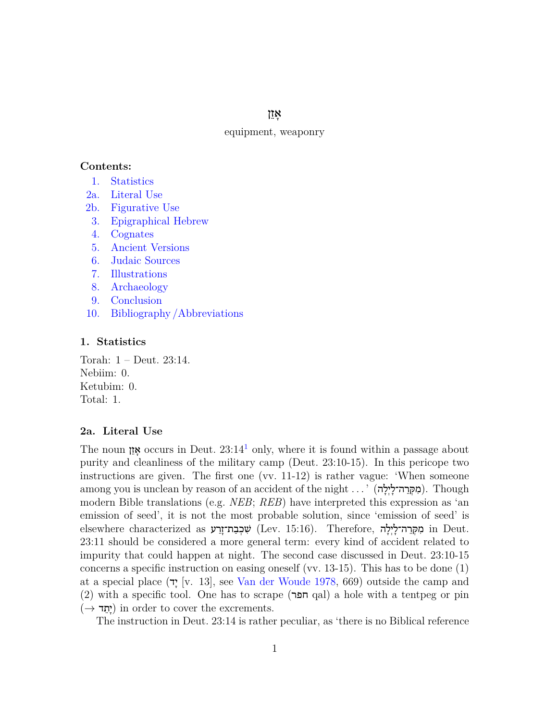אָ זֵ ן

# equipment, weaponry

#### **Contents:**

- [1.](#page-0-0) [Statistics](#page-0-0)
- [2a.](#page-0-1) [Literal Use](#page-0-1)
- [2b.](#page-1-0) [Figurative Use](#page-1-0)
- [3.](#page-1-1) [Epigraphical Hebrew](#page-1-1)
- [4.](#page-1-2) [Cognates](#page-1-2)
- [5.](#page-2-0) [Ancient Versions](#page-2-0)
- [6.](#page-3-0) [Judaic Sources](#page-3-0)
- [7.](#page-3-1) [Illustrations](#page-3-1)
- [8.](#page-5-0) [Archaeology](#page-5-0)
- [9.](#page-6-0) [Conclusion](#page-6-0)
- <span id="page-0-0"></span>[10.](#page-8-0) [Bibliography /Abbreviations](#page-8-0)

#### **1. Statistics**

Torah: 1 – Deut. 23:14. Nebiim: 0. Ketubim: 0. Total: 1.

# <span id="page-0-1"></span>**2a. Literal Use**

<span id="page-0-2"></span>The noun **זיֵז occurs** in Deut.  $23.14<sup>1</sup>$  $23.14<sup>1</sup>$  $23.14<sup>1</sup>$  only, where it is found within a passage about purity and cleanliness of the military camp (Deut. 23:10-15). In this pericope two instructions are given. The first one (vv. 11-12) is rather vague: 'When someone among you is unclean by reason of an accident of the night . . . ' (מִקְרֵה־לָיִלָה). Though modern Bible translations (e.g. *NEB*; *REB*) have interpreted this expression as 'an emission of seed', it is not the most probable solution, since 'emission of seed' is elsewhere characterized as שִׁכְבַּת־זָרַע (Lev. 15:16). Therefore, מִקְרֵה־לָיִלָה in Deut. 23:11 should be considered a more general term: every kind of accident related to impurity that could happen at night. The second case discussed in Deut. 23:10-15 concerns a specific instruction on easing oneself (vv. 13-15). This has to be done (1) at a special place  $(\mathbf{T} \times \mathbf{1}3]$ , see [Van der Woude 1978](#page-9-0), 669) outside the camp and  $(2)$  with a specific tool. One has to scrape (חפר qal) a hole with a tentpeg or pin (*→* ד ֵת ָי (in order to cover the excrements.

<span id="page-0-3"></span>The instruction in Deut. 23:14 is rather peculiar, as 'there is no Biblical reference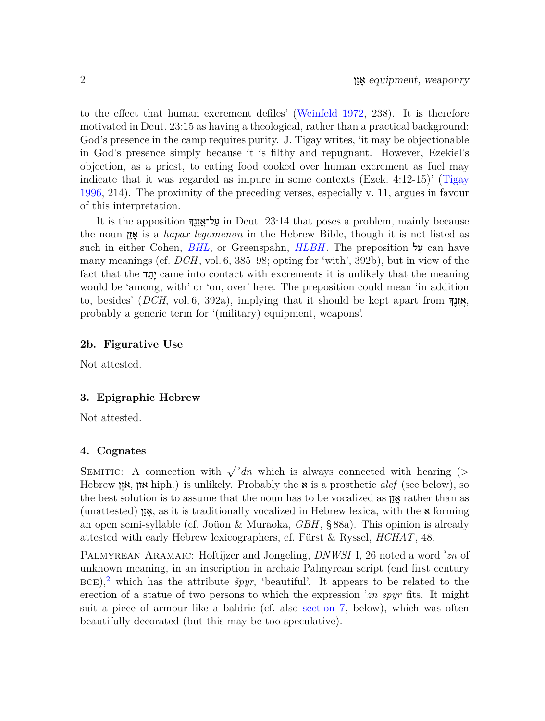<span id="page-1-7"></span>to the effect that human excrement defiles' ([Weinfeld 1972,](#page-9-1) 238). It is therefore motivated in Deut. 23:15 as having a theological, rather than a practical background: God's presence in the camp requires purity. J. Tigay writes, 'it may be objectionable in God's presence simply because it is filthy and repugnant. However, Ezekiel's objection, as a priest, to eating food cooked over human excrement as fuel may indicate that it was regarded as impure in some contexts (Ezek. 4:12-15)' ([Tigay](#page-9-2) [1996](#page-9-2), 214). The proximity of the preceding verses, especially v. 11, argues in favour of this interpretation.

<span id="page-1-6"></span><span id="page-1-5"></span><span id="page-1-4"></span>It is the apposition  $\frac{1}{2}$ על־אֱזֶנֱדּ in Deut. 23:14 that poses a problem, mainly because the noun ן ֵז ָא is a *hapax legomenon* in the Hebrew Bible, though it is not listed as such in either Cohen, *[BHL](#page-8-1)*, or Greenspahn, *[HLBH](#page-8-2)*. The preposition ל ַע can have many meanings (cf. *DCH*, vol. 6, 385–98; opting for 'with', 392b), but in view of the fact that the <u>ית</u>ד came into contact with excrements it is unlikely that the meaning would be 'among, with' or 'on, over' here. The preposition could mean 'in addition to, besides' (*DCH*, vol. 6, 392a), implying that it should be kept apart from  $\frac{1}{2}$ probably a generic term for '(military) equipment, weapons'.

# <span id="page-1-0"></span>**2b. Figurative Use**

Not attested.

#### <span id="page-1-1"></span>**3. Epigraphic Hebrew**

Not attested.

# <span id="page-1-2"></span>**4. Cognates**

SEMITIC: A connection with  $\sqrt{\partial}$  *n* which is always connected with hearing (*> ¯* Hebrew ן ֶזֹא, אזן hiph.) is unlikely. Probably the א is a prosthetic *alef* (see below), so the best solution is to assume that the noun has to be vocalized as  $\mathfrak{g}$  rather than as (unattested) ן אֵז as it is traditionally vocalized in Hebrew lexica, with the  $\boldsymbol{\kappa}$  forming an open semi-syllable (cf. Joüon & Muraoka, *GBH*, § 88a). This opinion is already attested with early Hebrew lexicographers, cf. Fürst & Ryssel, *HCHAT*, 48.

<span id="page-1-3"></span>Palmyrean Aramaic: Hoftijzer and Jongeling, *DNWSI* I, 26 noted a word ʾ*zn* of unknown meaning, in an inscription in archaic Palmyrean script (end first century  $BCE$ <sup>[2](#page-7-1)</sup>, which has the attribute  $\breve{\text{sym}}$ , 'beautiful'. It appears to be related to the erection of a statue of two persons to which the expression ʾ*zn spyr* fits. It might suit a piece of armour like a baldric (cf. also [section 7](#page-3-1), below), which was often beautifully decorated (but this may be too speculative).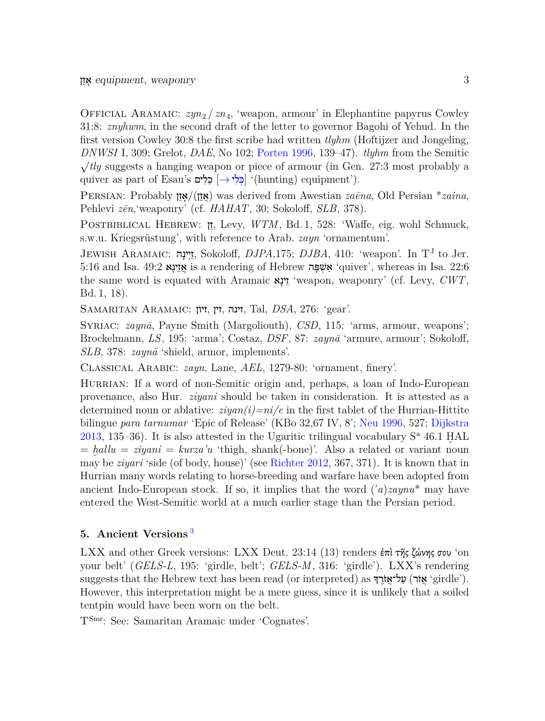<span id="page-2-4"></span>OFFICIAL ARAMAIC:  $zyn_2 / zn_4$ , 'weapon, armour' in Elephantine papyrus Cowley 31:8: *znyhwm*, in the second draft of the letter to governor Bagohi of Yehud. In the first version Cowley 30:8 the first scribe had written *tlyhm* (Hoftijzer and Jongeling, *DNWSI* I, 309; Grelot, *DAE*, No 102; [Porten 1996,](#page-9-3) 139–47). *tlyhm* from the Semitic *√ tly* suggests a hanging weapon or piece of armour (in Gen. 27:3 most probably a quiver as part of Esau's **⊑ִלִי** (→ כִּל ְיוֹ (hunting) equipment').

PERSIAN: Probably וֹאָזוֹ ) was derived from Awestian *zaēna*, Old Persian \**zaina*, Pehlevi *z¯en*,'weaponry' (cf. *HAHAT*, 30; Sokoloff, *SLB*, 378).

Postbiblical Hebrew: ן ֵז, Levy, *WTM*, Bd. 1, 528: 'Waffe, eig. wohl Schmuck, s.w.u. Kriegsrüstung', with reference to Arab. *zayn* 'ornamentum'.

JEWISH ARAMAIC: יִינָה, Sokoloff, *DJPA*,175; *DJBA*, 410: 'weapon'. In T<sup>J</sup> to Jer. 5:16 and Isa. 49:2 א ָינ ֵז ֲא is a rendering of Hebrew ה ָפּ ְשׁ ַא' quiver', whereas in Isa. 22:6 the same word is equated with Aramaic **"ינָא** 'weapon, weaponry' (cf. Levy,  $CWT$ , Bd. 1, 18).

Samaritan Aramaic: זיון, זין, זינה, Tal, *DSA*, 276: 'gear'.

SYRIAC: *zaynā*, Payne Smith (Margoliouth), *CSD*, 115: 'arms, armour, weapons'; Brockelmann, *LS*, 195: 'arma'; Costaz, *DSF*, 87: *zaynā* 'armure, armour'; Sokoloff, *SLB*, 378: *zaynā* 'shield, armor, implements'.

Classical Arabic: *zayn*, Lane, *AEL*, 1279-80: 'ornament, finery'.

<span id="page-2-5"></span><span id="page-2-3"></span><span id="page-2-2"></span>HURRIAN: If a word of non-Semitic origin and, perhaps, a loan of Indo-European provenance, also Hur. *ziyani* should be taken in consideration. It is attested as a determined noun or ablative: *ziyan(i)=ni/e* in the first tablet of the Hurrian-Hittite bilingue *para tarnumar* 'Epic of Release' (KBo 32,67 IV, 8'; [Neu 1996](#page-9-4), 527; [Dijkstra](#page-8-3)  $2013, 135-36$  $2013, 135-36$ ). It is also attested in the Ugaritic trilingual vocabulary  $S^a$  46.1 HAL  $=$  *hallu* = *ziyani* = *kurza'u* 'thigh, shank(-bone)'. Also a related or variant noun may be *ziyari* 'side (of body, house)' (see [Richter 2012](#page-9-5), 367, 371). It is known that in Hurrian many words relating to horse-breeding and warfare have been adopted from ancient Indo-European stock. If so, it implies that the word (ʾ*a*)*zaynu*\* may have entered the West-Semitic world at a much earlier stage than the Persian period.

# <span id="page-2-1"></span><span id="page-2-0"></span>**5. Ancient Versions** [3](#page-7-2)

LXX and other Greek versions: LXX Deut. 23:14 (13) renders ἐπὶ τῆς ζώνης σου 'on your belt' (*GELS-L*, 195: 'girdle, belt'; *GELS-M*, 316: 'girdle'). LXX's rendering suggests that the Hebrew text has been read (or interpreted) as ךָ ֶרֹז ֲל־א ַע) רֹז ֲא' girdle'). However, this interpretation might be a mere guess, since it is unlikely that a soiled tentpin would have been worn on the belt.

TSmr: See: Samaritan Aramaic under 'Cognates'.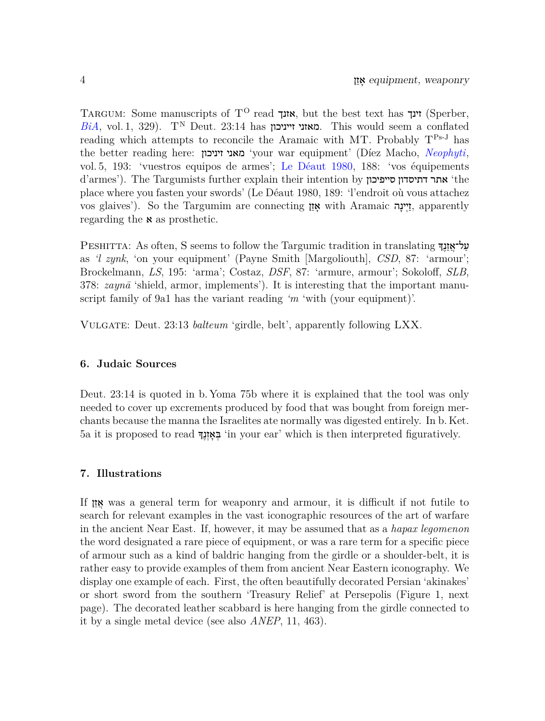<span id="page-3-4"></span><span id="page-3-3"></span><span id="page-3-2"></span>TARGUM: Some manuscripts of  $T^O$  read וועך, but the best text has זינך) (Sperber,  $BiA$ , vol. 1, 329). T<sup>N</sup> Deut. 23:14 has **מאזני זייניכון.** This would seem a conflated reading which attempts to reconcile the Aramaic with MT. Probably  $T^{Ps-J}$  has the better reading here: זיניכון מאני' your war equipment' (Díez Macho, *[Neophyti](#page-8-4)*, vol. 5, 193: 'vuestros equipos de armes'; [Le Déaut 1980,](#page-8-5) 188: 'vos équipements d'armes'). The Targumists further explain their intention by סייפיכון דתיסדון אתר' the place where you fasten your swords' (Le Déaut 1980, 189: 'l'endroit où vous attachez vos glaives'). So the Targumim are connecting וֵיעָה with Aramaic יָיִינָה apparently regarding the **x** as prosthetic.

PESHITTA: As often, S seems to follow the Targumic tradition in translating על־אַזָנֶךְ as *'l zynk*, 'on your equipment' (Payne Smith [Margoliouth], *CSD*, 87: 'armour'; Brockelmann, *LS*, 195: 'arma'; Costaz, *DSF*, 87: 'armure, armour'; Sokoloff, *SLB*, 378: *zaynā* 'shield, armor, implements'). It is interesting that the important manuscript family of 9a1 has the variant reading *'m* 'with (your equipment)'.

Vulgate: Deut. 23:13 *balteum* 'girdle, belt', apparently following LXX.

# <span id="page-3-0"></span>**6. Judaic Sources**

Deut. 23:14 is quoted in b. Yoma 75b where it is explained that the tool was only needed to cover up excrements produced by food that was bought from foreign merchants because the manna the Israelites ate normally was digested entirely. In b. Ket. 5a it is proposed to read ךָ ֶנ ְז ָא ְבּ' in your ear' which is then interpreted figuratively.

#### <span id="page-3-1"></span>**7. Illustrations**

If ן ֵז ֲא was a general term for weaponry and armour, it is difficult if not futile to search for relevant examples in the vast iconographic resources of the art of warfare in the ancient Near East. If, however, it may be assumed that as a *hapax legomenon* the word designated a rare piece of equipment, or was a rare term for a specific piece of armour such as a kind of baldric hanging from the girdle or a shoulder-belt, it is rather easy to provide examples of them from ancient Near Eastern iconography. We display one example of each. First, the often beautifully decorated Persian 'akinakes' or short sword from the southern 'Treasury Relief' at Persepolis (Figure 1, next page). The decorated leather scabbard is here hanging from the girdle connected to it by a single metal device (see also *ANEP*, 11, 463).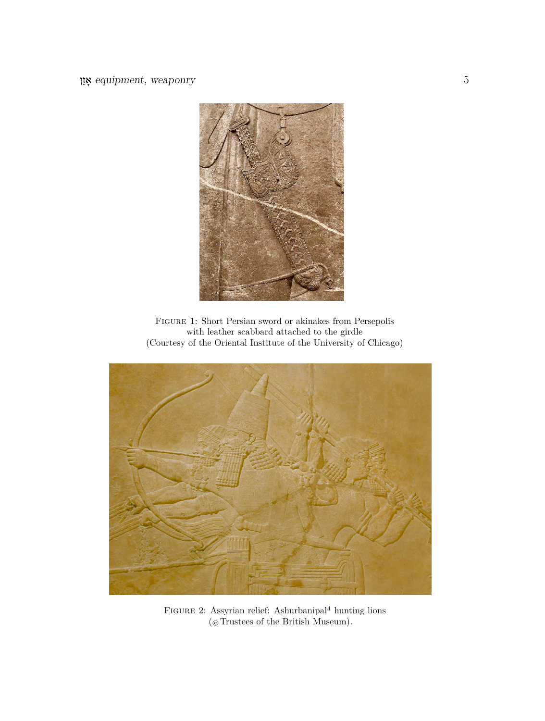

Figure 1: Short Persian sword or akinakes from Persepolis with leather scabbard attached to the girdle (Courtesy of the Oriental Institute of the University of Chicago)

<span id="page-4-0"></span>

FIGURE 2: Assyrian relief: Ashurbanipal<sup>[4](#page-7-3)</sup> hunting lions  $(\circledcirc$  Trustees of the British Museum).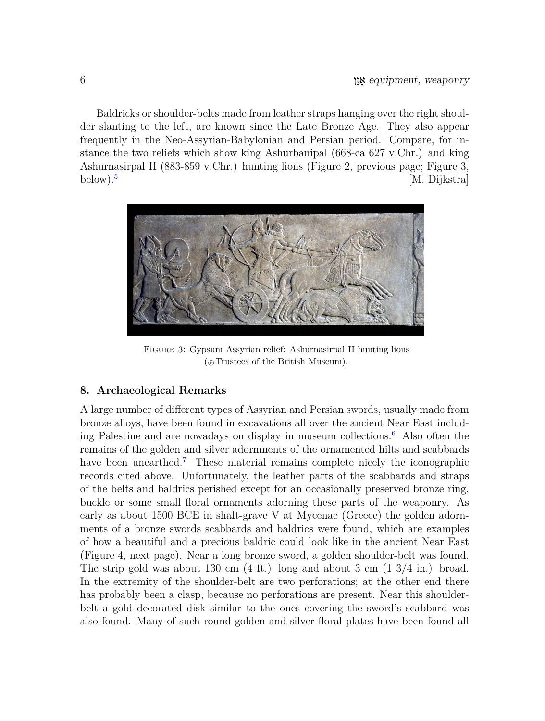Baldricks or shoulder-belts made from leather straps hanging over the right shoulder slanting to the left, are known since the Late Bronze Age. They also appear frequently in the Neo-Assyrian-Babylonian and Persian period. Compare, for instance the two reliefs which show king Ashurbanipal (668-ca 627 v.Chr.) and king Ashurnasirpal II (883-859 v.Chr.) hunting lions (Figure 2, previous page; Figure 3, below). $5$ [M. Dijkstra]

<span id="page-5-1"></span>

Figure 3: Gypsum Assyrian relief: Ashurnasirpal II hunting lions (*⃝*<sup>c</sup> Trustees of the British Museum).

# <span id="page-5-0"></span>**8. Archaeological Remarks**

<span id="page-5-3"></span><span id="page-5-2"></span>A large number of different types of Assyrian and Persian swords, usually made from bronze alloys, have been found in excavations all over the ancient Near East including Palestine and are nowadays on display in museum collections.[6](#page-7-5) Also often the remains of the golden and silver adornments of the ornamented hilts and scabbards have been unearthed.<sup>[7](#page-7-6)</sup> These material remains complete nicely the iconographic records cited above. Unfortunately, the leather parts of the scabbards and straps of the belts and baldrics perished except for an occasionally preserved bronze ring, buckle or some small floral ornaments adorning these parts of the weaponry. As early as about 1500 BCE in shaft-grave V at Mycenae (Greece) the golden adornments of a bronze swords scabbards and baldrics were found, which are examples of how a beautiful and a precious baldric could look like in the ancient Near East (Figure 4, next page). Near a long bronze sword, a golden shoulder-belt was found. The strip gold was about 130 cm  $(4 \text{ ft.})$  long and about 3 cm  $(1 \frac{3}{4} \text{ in.})$  broad. In the extremity of the shoulder-belt are two perforations; at the other end there has probably been a clasp, because no perforations are present. Near this shoulderbelt a gold decorated disk similar to the ones covering the sword's scabbard was also found. Many of such round golden and silver floral plates have been found all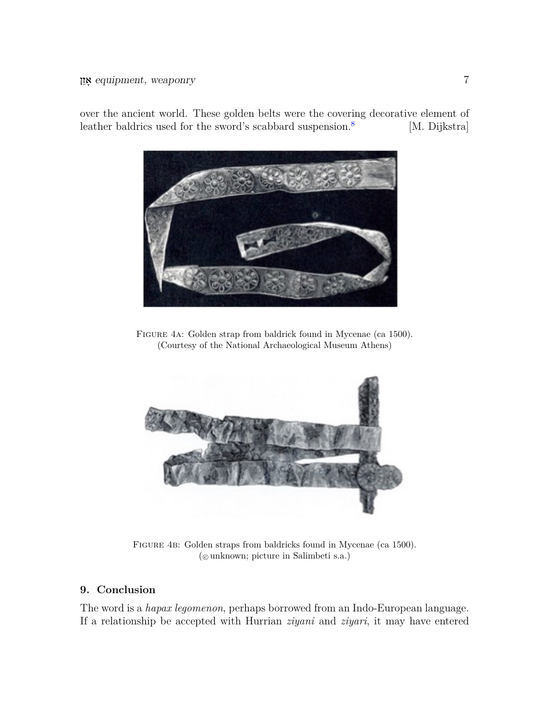<span id="page-6-1"></span>

over the ancient world. These golden belts were the covering decorative element of leather baldrics used for the sword's scabbard suspension.<sup>[8](#page-7-7)</sup> [M. Dijkstra]

Figure 4a: Golden strap from baldrick found in Mycenae (ca 1500). (Courtesy of the National Archaeological Museum Athens)



Figure 4b: Golden straps from baldricks found in Mycenae (ca 1500). (*⃝*<sup>c</sup> unknown; picture in Salimbeti s.a.)

# <span id="page-6-0"></span>**9. Conclusion**

The word is a *hapax legomenon*, perhaps borrowed from an Indo-European language. If a relationship be accepted with Hurrian *ziyani* and *ziyari*, it may have entered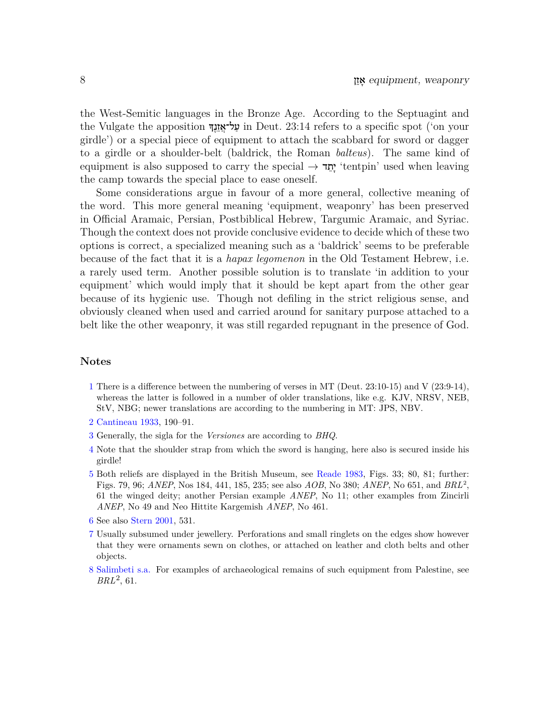the West-Semitic languages in the Bronze Age. According to the Septuagint and the Vulgate the apposition עֲל־אֱזֶנֱךָ in Deut. 23:14 refers to a specific spot ('on your girdle') or a special piece of equipment to attach the scabbard for sword or dagger to a girdle or a shoulder-belt (baldrick, the Roman *balteus*). The same kind of equipment is also supposed to carry the special *→* <u>י</u>תד 'tentpin' used when leaving the camp towards the special place to ease oneself.

Some considerations argue in favour of a more general, collective meaning of the word. This more general meaning 'equipment, weaponry' has been preserved in Official Aramaic, Persian, Postbiblical Hebrew, Targumic Aramaic, and Syriac. Though the context does not provide conclusive evidence to decide which of these two options is correct, a specialized meaning such as a 'baldrick' seems to be preferable because of the fact that it is a *hapax legomenon* in the Old Testament Hebrew, i.e. a rarely used term. Another possible solution is to translate 'in addition to your equipment' which would imply that it should be kept apart from the other gear because of its hygienic use. Though not defiling in the strict religious sense, and obviously cleaned when used and carried around for sanitary purpose attached to a belt like the other weaponry, it was still regarded repugnant in the presence of God.

# **Notes**

- <span id="page-7-0"></span>[1](#page-0-2) There is a difference between the numbering of verses in MT (Deut. 23:10-15) and V (23:9-14), whereas the latter is followed in a number of older translations, like e.g. KJV, NRSV, NEB, StV, NBG; newer translations are according to the numbering in MT: JPS, NBV.
- <span id="page-7-8"></span><span id="page-7-1"></span>[2](#page-1-3) [Cantineau 1933](#page-8-6), 190–91.
- <span id="page-7-3"></span><span id="page-7-2"></span>[3](#page-2-1) Generally, the sigla for the *Versiones* are according to *BHQ*.
- [4](#page-4-0) Note that the shoulder strap from which the sword is hanging, here also is secured inside his girdle!
- <span id="page-7-9"></span><span id="page-7-4"></span>[5](#page-5-1) Both reliefs are displayed in the British Museum, see [Reade 1983,](#page-9-7) Figs. 33; 80, 81; further: Figs. 79, 96; *ANEP*, Nos 184, 441, 185, 235; see also *AOB*, No 380; *ANEP*, No 651, and *BRL*<sup>2</sup> , 61 the winged deity; another Persian example *ANEP*, No 11; other examples from Zincirli *ANEP*, No 49 and Neo Hittite Kargemish *ANEP*, No 461.
- <span id="page-7-11"></span><span id="page-7-6"></span><span id="page-7-5"></span>[6](#page-5-2) See also [Stern 2001,](#page-9-8) 531.
- [7](#page-5-3) Usually subsumed under jewellery. Perforations and small ringlets on the edges show however that they were ornaments sewn on clothes, or attached on leather and cloth belts and other objects.
- <span id="page-7-10"></span><span id="page-7-7"></span>[8](#page-6-1) [Salimbeti s.a.](#page-9-9) For examples of archaeological remains of such equipment from Palestine, see *BRL*<sup>2</sup> , 61.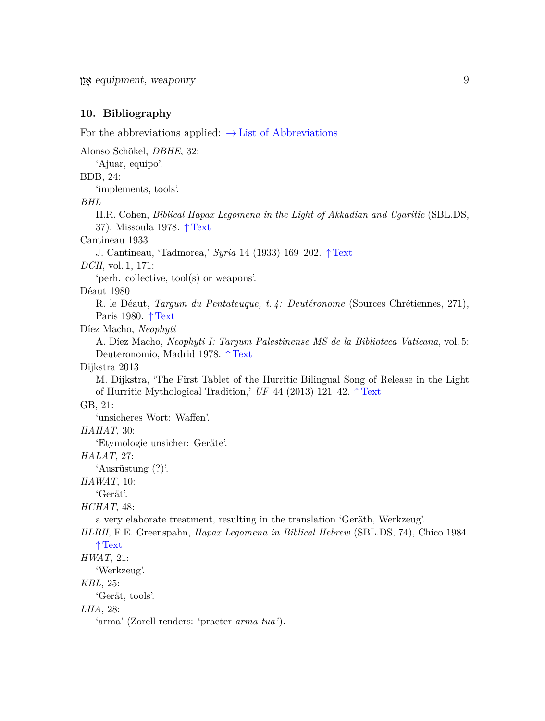# <span id="page-8-0"></span>**10. Bibliography**

<span id="page-8-6"></span><span id="page-8-5"></span><span id="page-8-4"></span><span id="page-8-3"></span><span id="page-8-2"></span><span id="page-8-1"></span>For the abbreviations applied: *→*[List of Abbreviations](http://otw-site.eu/wp-content/uploads/2017/07/Abbreviations_KLY.pdf) Alonso Schökel, *DBHE*, 32: 'Ajuar, equipo'. BDB, 24: 'implements, tools'. *BHL* H.R. Cohen, *Biblical Hapax Legomena in the Light of Akkadian and Ugaritic* (SBL.DS, 37), Missoula 1978. *↑* [Text](#page-1-4) Cantineau 1933 J. Cantineau, 'Tadmorea,' *Syria* 14 (1933) 169–202. *↑* [Text](#page-7-8) *DCH*, vol. 1, 171: 'perh. collective, tool(s) or weapons'. Déaut 1980 R. le Déaut, *Targum du Pentateuque, t. 4: Deutéronome* (Sources Chrétiennes, 271), Paris 1980. *↑* [Text](#page-3-2) Díez Macho, *Neophyti* A. Díez Macho, *Neophyti I: Targum Palestinense MS de la Biblioteca Vaticana*, vol. 5: Deuteronomio, Madrid 1978. *↑* [Text](#page-3-3) Dijkstra 2013 M. Dijkstra, 'The First Tablet of the Hurritic Bilingual Song of Release in the Light of Hurritic Mythological Tradition,' *UF* 44 (2013) 121–42. *↑* [Text](#page-2-2) GB, 21: 'unsicheres Wort: Waffen'. *HAHAT*, 30: 'Etymologie unsicher: Geräte'. *HALAT*, 27: 'Ausrüstung (?)'. *HAWAT*, 10: 'Gerät'. *HCHAT*, 48: a very elaborate treatment, resulting in the translation 'Geräth, Werkzeug'. *HLBH*, F.E. Greenspahn, *Hapax Legomena in Biblical Hebrew* (SBL.DS, 74), Chico 1984. *↑* [Text](#page-1-5) *HWAT*, 21: 'Werkzeug'. *KBL*, 25: 'Gerät, tools'. *LHA*, 28: 'arma' (Zorell renders: 'praeter *arma tua'*).